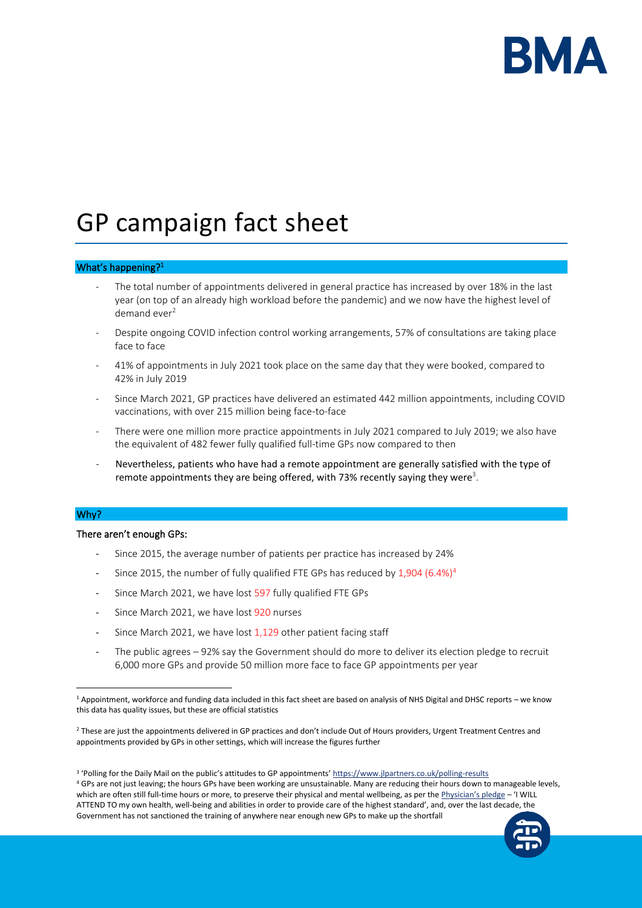

# GP campaign fact sheet

## What's happening?<sup>1</sup>

- The total number of appointments delivered in general practice has increased by over 18% in the last year (on top of an already high workload before the pandemic) and we now have the highest level of demand ever<sup>2</sup>
- Despite ongoing COVID infection control working arrangements, 57% of consultations are taking place face to face
- 41% of appointments in July 2021 took place on the same day that they were booked, compared to 42% in July 2019
- Since March 2021, GP practices have delivered an estimated 442 million appointments, including COVID vaccinations, with over 215 million being face-to-face
- There were one million more practice appointments in July 2021 compared to July 2019; we also have the equivalent of 482 fewer fully qualified full-time GPs now compared to then
- Nevertheless, patients who have had a remote appointment are generally satisfied with the type of remote appointments they are being offered, with 73% recently saying they were<sup>3</sup>.

## Why?

#### There aren't enough GPs:

- Since 2015, the average number of patients per practice has increased by 24%
- Since 2015, the number of fully qualified FTE GPs has reduced by  $1,904$  (6.4%)<sup>4</sup>
- Since March 2021, we have lost 597 fully qualified FTE GPs
- Since March 2021, we have lost 920 nurses
- Since March 2021, we have lost 1,129 other patient facing staff
- The public agrees 92% say the Government should do more to deliver its election pledge to recruit 6,000 more GPs and provide 50 million more face to face GP appointments per year

<sup>4</sup> GPs are not just leaving; the hours GPs have been working are unsustainable. Many are reducing their hours down to manageable levels, which are often still full-time hours or more, to preserve their physical and mental wellbeing, as per the [Physician's pledge](https://www.wma.net/policies-post/wma-declaration-of-geneva/) - 'I WILL ATTEND TO my own health, well-being and abilities in order to provide care of the highest standard', and, over the last decade, the Government has not sanctioned the training of anywhere near enough new GPs to make up the shortfall



<sup>1</sup> Appointment, workforce and funding data included in this fact sheet are based on analysis of NHS Digital and DHSC reports – we know this data has quality issues, but these are official statistics

<sup>&</sup>lt;sup>2</sup> These are just the appointments delivered in GP practices and don't include Out of Hours providers, Urgent Treatment Centres and appointments provided by GPs in other settings, which will increase the figures further

<sup>&</sup>lt;sup>3</sup> 'Polling for the Daily Mail on the public's attitudes to GP appointments' <u><https://www.jlpartners.co.uk/polling-results></u>